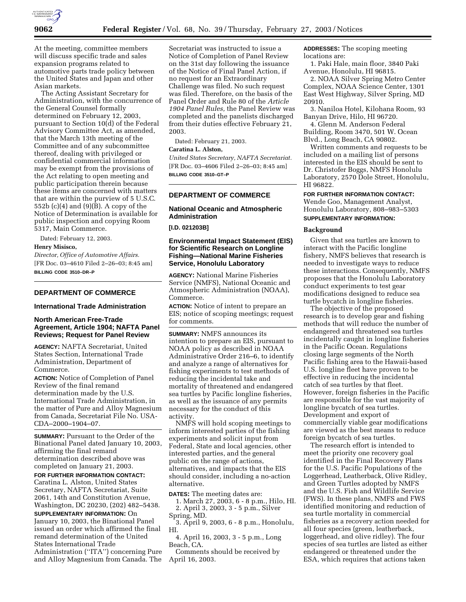

At the meeting, committee members will discuss specific trade and sales expansion programs related to automotive parts trade policy between the United States and Japan and other Asian markets.

The Acting Assistant Secretary for Administration, with the concurrence of the General Counsel formally determined on February 12, 2003, pursuant to Section 10(d) of the Federal Advisory Committee Act, as amended, that the March 13th meeting of the Committee and of any subcommittee thereof, dealing with privileged or confidential commercial information may be exempt from the provisions of the Act relating to open meeting and public participation therein because these items are concerned with matters that are within the purview of 5 U.S.C. 552b (c)(4) and (9)(B). A copy of the Notice of Determination is available for public inspection and copying Room 5317, Main Commerce.

Dated: February 12, 2003.

#### **Henry Misisco,**

*Director, Office of Automotive Affairs.* [FR Doc. 03–4610 Filed 2–26–03; 8:45 am] **BILLING CODE 3510–DR–P**

## **DEPARTMENT OF COMMERCE**

## **International Trade Administration**

## **North American Free-Trade Agreement, Article 1904; NAFTA Panel Reviews; Request for Panel Review**

**AGENCY:** NAFTA Secretariat, United States Section, International Trade Administration, Department of Commerce.

**ACTION:** Notice of Completion of Panel Review of the final remand determination made by the U.S. International Trade Administration, in the matter of Pure and Alloy Magnesium from Canada, Secretariat File No. USA-CDA–2000–1904–07.

**SUMMARY:** Pursuant to the Order of the Binational Panel dated January 10, 2003, affirming the final remand determination described above was completed on January 21, 2003.

**FOR FURTHER INFORMATION CONTACT:** Caratina L. Alston, United States Secretary, NAFTA Secretariat, Suite 2061, 14th and Constitution Avenue, Washington, DC 20230, (202) 482–5438.

**SUPPLEMENTARY INFORMATION:** On January 10, 2003, the Binational Panel issued an order which affirmed the final remand determination of the United States International Trade Administration (''ITA'') concerning Pure and Alloy Magnesium from Canada. The

Secretariat was instructed to issue a Notice of Completion of Panel Review on the 31st day following the issuance of the Notice of Final Panel Action, if no request for an Extraordinary Challenge was filed. No such request was filed. Therefore, on the basis of the Panel Order and Rule 80 of the *Article 1904 Panel Rules,* the Panel Review was completed and the panelists discharged from their duties effective February 21, 2003.

Dated: February 21, 2003.

# **Caratina L. Alston,**

*United States Secretary, NAFTA Secretariat.* [FR Doc. 03–4606 Filed 2–26–03; 8:45 am] **BILLING CODE 3510–GT–P**

## **DEPARTMENT OF COMMERCE**

## **National Oceanic and Atmospheric Administration**

**[I.D. 021203B]**

## **Environmental Impact Statement (EIS) for Scientific Research on Longline Fishing—National Marine Fisheries Service, Honolulu Laboratory**

**AGENCY:** National Marine Fisheries Service (NMFS), National Oceanic and Atmospheric Administration (NOAA), Commerce.

**ACTION:** Notice of intent to prepare an EIS; notice of scoping meetings; request for comments.

**SUMMARY:** NMFS announces its intention to prepare an EIS, pursuant to NOAA policy as described in NOAA Administrative Order 216–6, to identify and analyze a range of alternatives for fishing experiments to test methods of reducing the incidental take and mortality of threatened and endangered sea turtles by Pacific longline fisheries, as well as the issuance of any permits necessary for the conduct of this activity.

NMFS will hold scoping meetings to inform interested parties of the fishing experiments and solicit input from Federal, State and local agencies, other interested parties, and the general public on the range of actions, alternatives, and impacts that the EIS should consider, including a no-action alternative.

**DATES:** The meeting dates are:

1. March 27, 2003, 6 - 8 p.m., Hilo, HI. 2. April 3, 2003, 3 - 5 p.m., Silver Spring, MD.

3. April 9, 2003, 6 - 8 p.m., Honolulu, HI.

4. April 16, 2003, 3 - 5 p.m., Long Beach, CA.

Comments should be received by April 16, 2003.

**ADDRESSES:** The scoping meeting locations are:

1. Paki Hale, main floor, 3840 Paki Avenue, Honolulu, HI 96815.

2. NOAA Silver Spring Metro Center Complex, NOAA Science Center, 1301 East West Highway, Silver Spring, MD 20910.

3. Naniloa Hotel, Kilohana Room, 93 Banyan Drive, Hilo, HI 96720.

4. Glenn M. Anderson Federal Building, Room 3470, 501 W. Ocean Blvd., Long Beach, CA 90802.

Written comments and requests to be included on a mailing list of persons interested in the EIS should be sent to Dr. Christofer Boggs, NMFS Honolulu Laboratory, 2570 Dole Street, Honolulu, HI 96822.

## **FOR FURTHER INFORMATION CONTACT:**

Wende Goo, Management Analyst, Honolulu Laboratory, 808–983–5303 **SUPPLEMENTARY INFORMATION:**

# **Background**

Given that sea turtles are known to interact with the Pacific longline fishery, NMFS believes that research is needed to investigate ways to reduce these interactions. Consequently, NMFS proposes that the Honolulu Laboratory conduct experiments to test gear modifications designed to reduce sea turtle bycatch in longline fisheries.

The objective of the proposed research is to develop gear and fishing methods that will reduce the number of endangered and threatened sea turtles incidentally caught in longline fisheries in the Pacific Ocean. Regulations closing large segments of the North Pacific fishing area to the Hawaii-based U.S. longline fleet have proven to be effective in reducing the incidental catch of sea turtles by that fleet. However, foreign fisheries in the Pacific are responsible for the vast majority of longline bycatch of sea turtles. Development and export of commercially viable gear modifications are viewed as the best means to reduce foreign bycatch of sea turtles.

The research effort is intended to meet the priority one recovery goal identified in the Final Recovery Plans for the U.S. Pacific Populations of the Loggerhead, Leatherback, Olive Ridley, and Green Turtles adopted by NMFS and the U.S. Fish and Wildlife Service (FWS). In these plans, NMFS and FWS identified monitoring and reduction of sea turtle mortality in commercial fisheries as a recovery action needed for all four species (green, leatherback, loggerhead, and olive ridley). The four species of sea turtles are listed as either endangered or threatened under the ESA, which requires that actions taken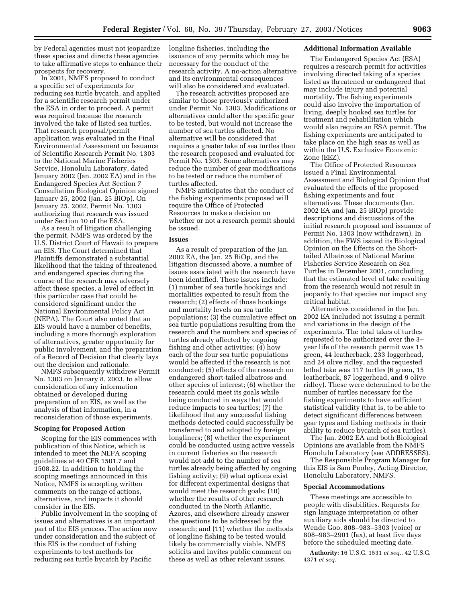by Federal agencies must not jeopardize these species and directs these agencies to take affirmative steps to enhance their prospects for recovery.

In 2001, NMFS proposed to conduct a specific set of experiments for reducing sea turtle bycatch, and applied for a scientific research permit under the ESA in order to proceed. A permit was required because the research involved the take of listed sea turtles. That research proposal/permit application was evaluated in the Final Environmental Assessment on Issuance of Scientific Research Permit No. 1303 to the National Marine Fisheries Service, Honolulu Laboratory, dated January 2002 (Jan. 2002 EA) and in the Endangered Species Act Section 7 Consultation Biological Opinion signed January 25, 2002 (Jan. 25 BiOp). On January 25, 2002, Permit No. 1303 authorizing that research was issued under Section 10 of the ESA.

As a result of litigation challenging the permit, NMFS was ordered by the U.S. District Court of Hawaii to prepare an EIS. The Court determined that Plaintiffs demonstrated a substantial likelihood that the taking of threatened and endangered species during the course of the research may adversely affect these species, a level of effect in this particular case that could be considered significant under the National Environmental Policy Act (NEPA). The Court also noted that an EIS would have a number of benefits, including a more thorough exploration of alternatives, greater opportunity for public involvement, and the preparation of a Record of Decision that clearly lays out the decision and rationale.

NMFS subsequently withdrew Permit No. 1303 on January 8, 2003, to allow consideration of any information obtained or developed during preparation of an EIS, as well as the analysis of that information, in a reconsideration of those experiments.

#### **Scoping for Proposed Action**

Scoping for the EIS commences with publication of this Notice, which is intended to meet the NEPA scoping guidelines at 40 CFR 1501.7 and 1508.22. In addition to holding the scoping meetings announced in this Notice, NMFS is accepting written comments on the range of actions, alternatives, and impacts it should consider in the EIS.

Public involvement in the scoping of issues and alternatives is an important part of the EIS process. The action now under consideration and the subject of this EIS is the conduct of fishing experiments to test methods for reducing sea turtle bycatch by Pacific

longline fisheries, including the issuance of any permits which may be necessary for the conduct of the research activity. A no-action alternative and its environmental consequences will also be considered and evaluated.

The research activities proposed are similar to those previously authorized under Permit No. 1303. Modifications or alternatives could alter the specific gear to be tested, but would not increase the number of sea turtles affected. No alternative will be considered that requires a greater take of sea turtles than the research proposed and evaluated for Permit No. 1303. Some alternatives may reduce the number of gear modifications to be tested or reduce the number of turtles affected.

NMFS anticipates that the conduct of the fishing experiments proposed will require the Office of Protected Resources to make a decision on whether or not a research permit should be issued.

#### **Issues**

As a result of preparation of the Jan. 2002 EA, the Jan. 25 BiOp, and the litigation discussed above, a number of issues associated with the research have been identified. These issues include: (1) number of sea turtle hookings and mortalities expected to result from the research; (2) effects of those hookings and mortality levels on sea turtle populations; (3) the cumulative effect on sea turtle populations resulting from the research and the numbers and species of turtles already affected by ongoing fishing and other activities; (4) how each of the four sea turtle populations would be affected if the research is not conducted; (5) effects of the research on endangered short-tailed albatross and other species of interest; (6) whether the research could meet its goals while being conducted in ways that would reduce impacts to sea turtles; (7) the likelihood that any successful fishing methods detected could successfully be transferred to and adopted by foreign longliners; (8) whether the experiment could be conducted using active vessels in current fisheries so the research would not add to the number of sea turtles already being affected by ongoing fishing activity; (9) what options exist for different experimental designs that would meet the research goals; (10) whether the results of other research conducted in the North Atlantic, Azores, and elsewhere already answer the questions to be addressed by the research; and (11) whether the methods of longline fishing to be tested would likely be commercially viable. NMFS solicits and invites public comment on these as well as other relevant issues.

#### **Additional Information Available**

The Endangered Species Act (ESA) requires a research permit for activities involving directed taking of a species listed as threatened or endangered that may include injury and potential mortality. The fishing experiments could also involve the importation of living, deeply hooked sea turtles for treatment and rehabilitation which would also require an ESA permit. The fishing experiments are anticipated to take place on the high seas as well as within the U.S. Exclusive Economic Zone (EEZ).

The Office of Protected Resources issued a Final Environmental Assessment and Biological Opinion that evaluated the effects of the proposed fishing experiments and four alternatives. These documents (Jan. 2002 EA and Jan. 25 BiOp) provide descriptions and discussions of the initial research proposal and issuance of Permit No. 1303 (now withdrawn). In addition, the FWS issued its Biological Opinion on the Effects on the Shorttailed Albatross of National Marine Fisheries Service Research on Sea Turtles in December 2001, concluding that the estimated level of take resulting from the research would not result in jeopardy to that species nor impact any critical habitat.

Alternatives considered in the Jan. 2002 EA included not issuing a permit and variations in the design of the experiments. The total takes of turtles requested to be authorized over the 3– year life of the research permit was 15 green, 44 leatherback, 233 loggerhead, and 24 olive ridley, and the requested lethal take was 117 turtles (6 green, 15 leatherback, 87 loggerhead, and 9 olive ridley). These were determined to be the number of turtles necessary for the fishing experiments to have sufficient statistical validity (that is, to be able to detect significant differences between gear types and fishing methods in their ability to reduce bycatch of sea turtles).

The Jan. 2002 EA and both Biological Opinions are available from the NMFS Honolulu Laboratory (see ADDRESSES).

The Responsible Program Manager for this EIS is Sam Pooley, Acting Director, Honolulu Laboratory, NMFS.

#### **Special Accommodations**

These meetings are accessible to people with disabilities. Requests for sign language interpretation or other auxiliary aids should be directed to Wende Goo, 808–983–5303 (voice) or 808–983–2901 (fax), at least five days before the scheduled meeting date.

**Authority:** 16 U.S.C. 1531 *et seq.*, 42 U.S.C. 4371 *et seq.*